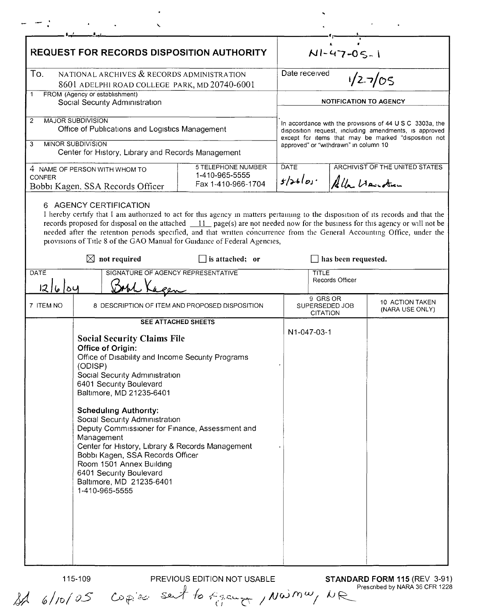| <b>REQUEST FOR RECORDS DISPOSITION AUTHORITY</b>                                                                                                                                                                                                                                                                                                                                                                                                                                                                                                                               |                                                            | NI-47-05-1                                                                                                                                                                                                          |                                               |                                    |  |
|--------------------------------------------------------------------------------------------------------------------------------------------------------------------------------------------------------------------------------------------------------------------------------------------------------------------------------------------------------------------------------------------------------------------------------------------------------------------------------------------------------------------------------------------------------------------------------|------------------------------------------------------------|---------------------------------------------------------------------------------------------------------------------------------------------------------------------------------------------------------------------|-----------------------------------------------|------------------------------------|--|
| To.<br>NATIONAL ARCHIVES & RECORDS ADMINISTRATION<br>8601 ADELPHI ROAD COLLEGE PARK, MD 20740-6001                                                                                                                                                                                                                                                                                                                                                                                                                                                                             |                                                            | Date received<br>$1/2 - 7/05$                                                                                                                                                                                       |                                               |                                    |  |
| FROM (Agency or establishment)<br>1<br>Social Security Administration                                                                                                                                                                                                                                                                                                                                                                                                                                                                                                          |                                                            | <b>NOTIFICATION TO AGENCY</b>                                                                                                                                                                                       |                                               |                                    |  |
| <b>MAJOR SUBDIVISION</b><br>$\overline{c}$<br>Office of Publications and Logistics Management<br><b>MINOR SUBDIVISION</b><br>3                                                                                                                                                                                                                                                                                                                                                                                                                                                 |                                                            | In accordance with the provisions of 44 U S C 3303a, the<br>disposition request, including amendments, is approved<br>except for items that may be marked "disposition not<br>approved" or "withdrawn" in column 10 |                                               |                                    |  |
| Center for History, Library and Records Management<br>4 NAME OF PERSON WITH WHOM TO<br><b>CONFER</b><br>Bobbi Kagen, SSA Records Officer                                                                                                                                                                                                                                                                                                                                                                                                                                       | 5 TELEPHONE NUMBER<br>1-410-965-5555<br>Fax 1-410-966-1704 | <b>ARCHIVIST OF THE UNITED STATES</b><br><b>DATE</b><br>$5/26$ los·<br>Alla Heusten                                                                                                                                 |                                               |                                    |  |
| 6 AGENCY CERTIFICATION<br>I hereby certify that I am authorized to act for this agency in matters pertaining to the disposition of its records and that the<br>records proposed for disposal on the attached $11$ page(s) are not needed now for the business for this agency or will not be<br>needed after the retention periods specified, and that written concurrence from the General Accounting Office, under the<br>provisions of Title 8 of the GAO Manual for Guidance of Federal Agencies,                                                                          |                                                            |                                                                                                                                                                                                                     |                                               |                                    |  |
| $\boxtimes$ not required                                                                                                                                                                                                                                                                                                                                                                                                                                                                                                                                                       | is attached; or                                            |                                                                                                                                                                                                                     | has been requested.                           |                                    |  |
| SIGNATURE OF AGENCY REPRESENTATIVE<br>DATE<br> 2 6 04                                                                                                                                                                                                                                                                                                                                                                                                                                                                                                                          |                                                            | TITLE<br>Records Officer                                                                                                                                                                                            |                                               |                                    |  |
| 7 ITEM NO                                                                                                                                                                                                                                                                                                                                                                                                                                                                                                                                                                      | 8 DESCRIPTION OF ITEM AND PROPOSED DISPOSITION             |                                                                                                                                                                                                                     | 9 GRS OR<br>SUPERSEDED JOB<br><b>CITATION</b> | 10 ACTION TAKEN<br>(NARA USE ONLY) |  |
| <b>SEE ATTACHED SHEETS</b><br><b>Social Security Claims File</b><br>Office of Origin:<br>Office of Disability and Income Security Programs<br>(ODISP)<br>Social Security Administration<br>6401 Security Boulevard<br>Baltimore, MD 21235-6401<br><b>Scheduling Authority:</b><br>Social Security Administration<br>Deputy Commissioner for Finance, Assessment and<br>Management<br>Center for History, Library & Records Management<br>Bobbi Kagen, SSA Records Officer<br>Room 1501 Annex Building<br>6401 Security Boulevard<br>Baltimore, MD 21235-6401<br>1-410-965-5555 |                                                            | N1-047-03-1                                                                                                                                                                                                         |                                               |                                    |  |

 $\hat{\mathbf{v}}$ 

 $\blacksquare$ 

115-109

PREVIOUS EDITION NOT USABLE STANDARD FORM 115 (REV 3-91)  $\omega$   $\mu$  i.e. Sent to  $\epsilon$  pampa /  $\mu\omega$  m  $\omega$  /  $\mu$  R Prescribed by NARA 36 CFR 1228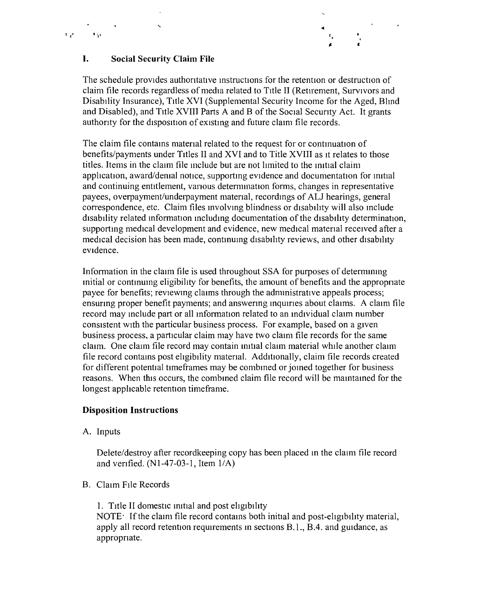

## **I. Social Security Claim File**

The schedule provides authoritative instructions for the retention or destruction of claim file records regardless of media related to Title II (Retirement, Survivors and Disability Insurance), Title XVI (Supplemental Security Income for the Aged, Blmd and Disabled), and Title XVIII Parts A and B of the Social Security Act. It grants authority for the disposition of existing and future claim file records.

The claim file contains material related to the request for or continuation of benefits/payments under Titles II and XVI and to Title XVIII as It relates to those titles. Items in the claim file include but are not limited to the initial claim application, award/denial notice, supporting evidence and documentation for initial and continuing entitlement, various determination forms, changes in representative payees, overpayment/underpayment matenal, recordmgs of ALl hearings, general correspondence, etc. Claim files mvolvmg blindness or disability will also mclude disability related information mcludmg documentation of the disability determination, supportmg medical development and evidence, new medical matenal received after a medical decision has been made, contmumg disability reviews, and other disability evidence,

Information in the claim file is used throughout SSA for purposes of determining mitial or contmumg eligibility for benefits, the amount of benefits and the appropnate payee for benefits; reviewmg claims through the admmistrative appeals process; ensuring proper benefit payments; and answering inquiries about claims. A claim file record may mclude part or all information related to an mdrvidual claim number consistent With the particular business process. For example, based on a given business process, a particular claim may have two claim file records for the same claim. One claim file record may contain initial claim material while another claim file record contams post eligibility matenal. Additionally, claim file records created for different potential timeframes may be combmed or jomed together for business reasons. When this occurs, the combmed claim file record will be mamtamed for the longest applicable retention timeframe.

## **Disposition Instructions**

A. Inputs

Delete/destroy after recordkeeping copy has been placed m the claim file record and verified.  $(N1-47-03-1$ , Item  $1/A$ )

B. Claim FIle Records

1. Title II domestic initial and post eligibility

NOTE' If the claim file record contams both initial and post-eligibility material, apply all record retention requirements in sections B.1., B.4. and guidance, as appropnate.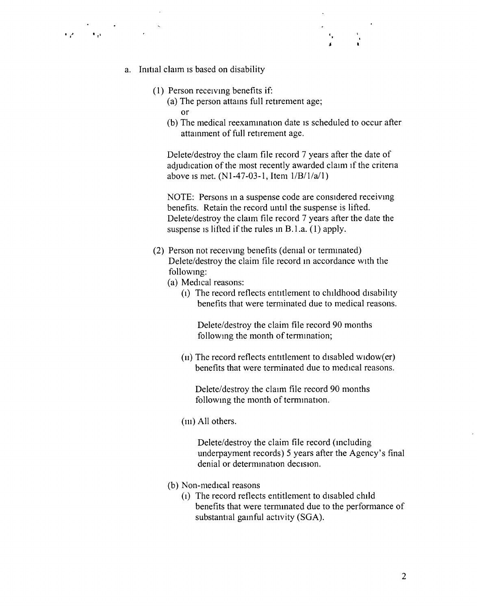- a. Initial claim is based on disability
	- (1) Person receiving benefits if:
		- (a) The person attains full retirement age; or
		- (b) The medical reexamination date is scheduled to occur after attainment of full retirement age.

*J*

Delete/destroy the claim file record 7 years after the date of adjudication of the most recently awarded claim if the criteria above is met.  $(N1-47-03-1,$  Item  $1/B/1/a/1)$ 

NOTE: Persons In a suspense code are considered receiving benefits. Retain the record until the suspense is lifted. Delete/destroy the claim file record 7 years after the date the suspense is lifted if the rules in B.1.a. (1) apply.

- (2) Person not receiving benefits (denial or terminated) Delete/destroy the claim file record In accordance with the following:
	- (a) Medical reasons:
		- (1) The record reflects entitlement to childhood disability benefits that were terminated due to medical reasons.

Delete/destroy the claim file record 90 months following the month of termmation;

 $(u)$  The record reflects entitlement to disabled widow $(er)$ benefits that were terminated due to medical reasons.

Delete/destroy the claim file record 90 months following the month of termmation.

(in) All others.

Delete/destroy the claim file record (Including underpayment records) 5 years after the Agency's final denial or determmation decision.

- (b) Non-medical reasons
	- (1) The record reflects entitlement to disabled child benefits that were terrmnated due to the performance of substantial gainful activity (SGA).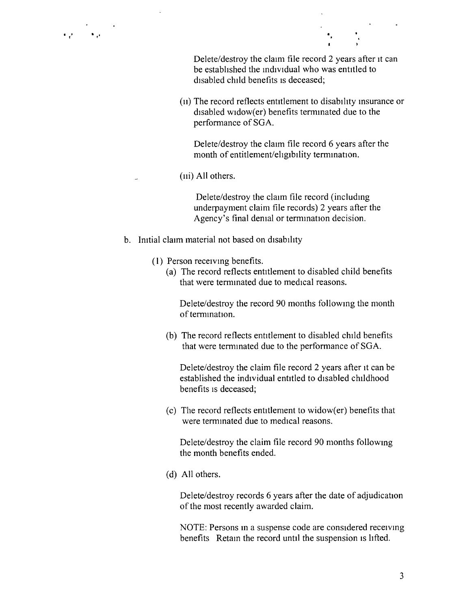Delete/destroy the claim file record 2 years after it can be established the individual who was entitled to disabled child benefits is deceased;

 $(u)$  The record reflects entitlement to disability insurance or disabled widow(er) benefits terminated due to the performance of SGA.

Delete/destroy the claim file record 6 years after the month of entitlement/eligibility termmation.

(IIi) All others.

Delete/destroy the claim file record (including underpayment claim file records) 2 years after the Agency's final denial or termination decision.

- b. Initial claim material not based on disability
	- (1) Person receiving benefits.
		- (a) The record reflects entitlement to disabled child benefits that were terminated due to medical reasons.

Delete/destroy the record 90 months following the month of temunation.

(b) The record reflects entitlement to disabled child benefits that were terminated due to the performance of SGA.

Delete/destroy the claim file record 2 years after it can be established the individual entitled to disabled childhood benefits is deceased;

 $(c)$  The record reflects entitlement to widow(er) benefits that were terminated due to medical reasons.

Delete/destroy the claim file record 90 months following the month benefits ended.

(d) All others.

Delete/destroy records 6 years after the date of adjudication of the most recently awarded claim.

NOTE: Persons in a suspense code are considered receiving benefits Retain the record until the suspension is lifted.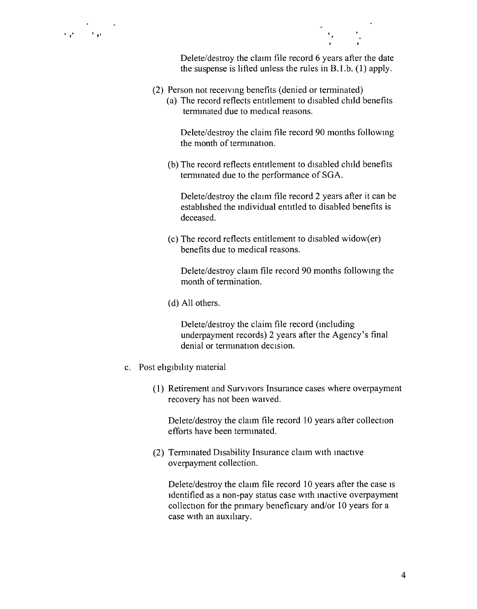Delete/destroy the claim file record 6 years after the date the suspense is lifted unless the rules in B.1.b. (1) apply.

- (2) Person not receiving benefits (denied or terminated)
	- (a) The record reflects entitlement to disabled child benefits terminated due to medical reasons.

Delete/destroy the claim file record 90 months following the month of termination.

(b) The record reflects entitlement to disabled child benefits termmated due to the performance of SGA.

Delete/destroy the claim file record 2 years after it can be established the individual entitled to disabled benefits is deceased.

 $(c)$  The record reflects entitlement to disabled widow $(er)$ benefits due to medical reasons.

Delete/destroy claun file record 90 months following the month of termination.

(d) All others.

Delete/destroy the claim file record (Including underpayment records) 2 years after the Agency's final denial or termination decision.

- c. Post eligibility material
	- (1) Retirement and Survivors Insurance cases where overpayment recovery has not been waived.

Delete/destroy the claim file record 10 years after collection efforts have been terminated.

(2) Termmated DIsability Insurance claim WIth inactive overpayment collection.

Delete/destroy the claim file record 10 years after the case is Identified as a non-pay status case WIth mactive overpayment collection for the primary beneficiary and/or 10 years for a case WIth an auxihary.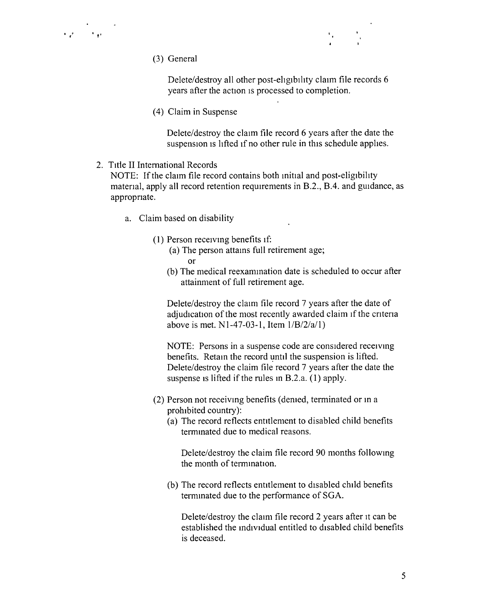- $\epsilon_{\rm c}$  ,  $\epsilon_{\rm t}$
- (3) General

Delete/destroy all other post-ehgibihty claim file records 6 years after the action is processed to completion.

(4) Claim in Suspense

Delete/destroy the claim file record 6 years after the date the suspension is lifted if no other rule in this schedule applies.

2. Title II International Records

NOTE: If the claim file record contains both initial and post-eligibility material, apply all record retention requirements in B.2., B.4. and guidance, as appropnate.

- a. Claim based on disability
	- $(1)$  Person receiving benefits if:
		- (a) The person attains full retirement age; or
		- (b) The medical reexamination date is scheduled to occur after attainment of full retirement age.

Delete/destroy the claim file record 7 years after the date of adjudication of the most recently awarded claim if the criteria above is met. N1-47-03-1, Item  $1/B/2/a/1$ )

NOTE: Persons in a suspense code are considered receiving benefits. Retain the record until the suspension is lifted. Delete/destroy the claim file record 7 years after the date the suspense is lifted if the rules in B.2.a.  $(1)$  apply.

- (2) Person not receiving benefits (denied, terminated or in a prohibited country):
	- $(a)$  The record reflects entitlement to disabled child benefits termmated due to medical reasons.

Delete/destroy the claim file record 90 months following the month of termmation,

(b) The record reflects entitlement to disabled child benefits termmated due to the performance of SGA.

Delete/destroy the claim file record 2 years after it can be established the mdividual entitled to disabled child benefits is deceased.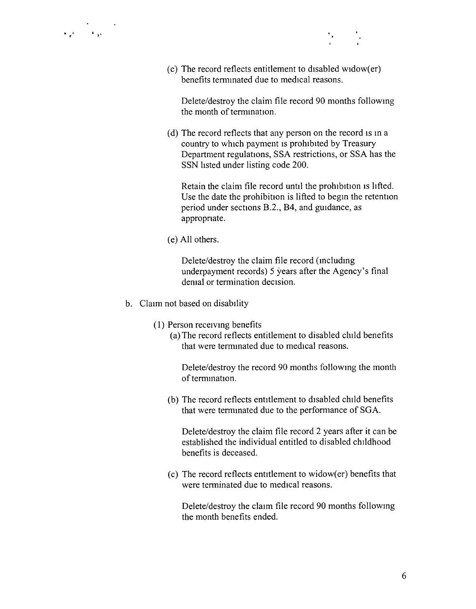

 $(c)$  The record reflects entitlement to disabled widow $(er)$ benefits termmated due to medical reasons.

Delete/destroy the claim file record 90 months following the month of temunation,

(d) The record reflects that any person on the record is in a country to which payment IS prohibited by Treasury Department regulations, SSA restrictions, or SSA has the SSN listed under listing code 200.

Retain the claim file record until the prohibition is lifted. Use the date the prohibition is lifted to begin the retention period under sections B.2., B4, and guidance, as appropnate.

(e) All others.

Delete/destroy the claim file record (includmg underpayment records) 5 years after the Agency's final demal or termination decision.

- b. Claim not based on disability
	- (1) Person receivmg benefits
		- (a) The record reflects entitlement to disabled child benefits that were terminated due to medical reasons.

Delete/destroy the record 90 months following the month of termmation.

(b) The record reflects entitlement to disabled child benefits that were terminated due to the performance of SGA.

Delete/destroy the claim file record 2 years after it can be established the individual entitled to disabled childhood benefits is deceased.

 $(c)$  The record reflects entitlement to widow(er) benefits that were terminated due to medical reasons.

Delete/destroy the claun file record 90 months following the month benefits ended.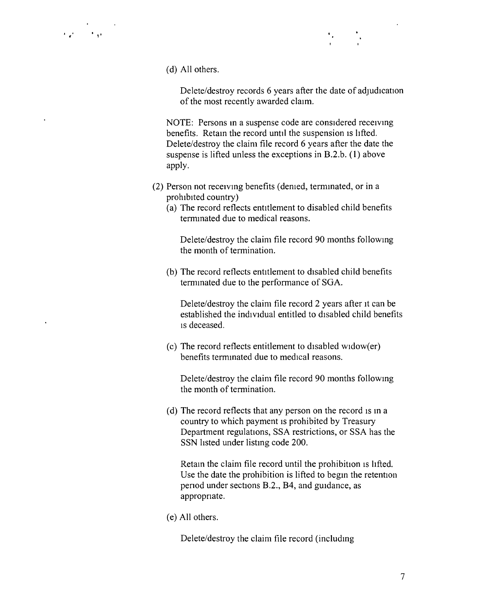(d) All others.

,  $\mathcal{E} = \frac{1}{2}$ 

Delete/destroy records 6 years after the date of adjudication of the most recently awarded claim.

NOTE: Persons in a suspense code are considered receiving benefits. Retain the record until the suspension is lifted. Delete/destroy the claim file record 6 years after the date the suspense is lifted unless the exceptions in B.2.b. (1) above apply.

- (2) Person not receiving benefits (denied, terminated, or in a prohibited country)
	- $(a)$  The record reflects entitlement to disabled child benefits terminated due to medical reasons.

Delete/destroy the claim file record 90 months following the month of termination.

(b) The record reflects entitlement to disabled child benefits termmated due to the performance of SGA.

Delete/destroy the claim file record 2 years after it can be established the individual entitled to disabled child benefits ISdeceased.

 $(c)$  The record reflects entitlement to disabled widow $(er)$ benefits terminated due to medical reasons.

Delete/destroy the claim file record 90 months following the month of termination,

(d) The record reflects that any person on the record is in a country to which payment is prohibited by Treasury Department regulations, SSA restrictions, or SSA has the SSN listed under listing code 200.

Retain the claim file record until the prohibition is lifted. Use the date the prohibition is lifted to begin the retention penod under sections B.2., B4, and guidance, as appropnate.

(e) All others.

Delete/destroy the claim file record (including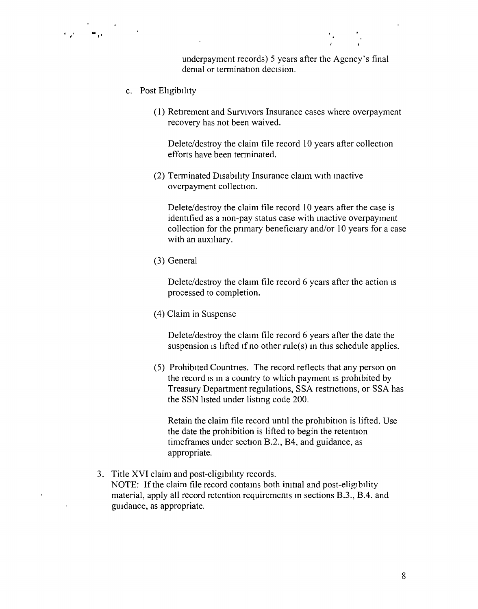underpayment records) 5 years after the Agency's final denial or termination decision.

c. Post Eligibility

· ,, .. "

(1) Retirement and Survivors Insurance cases where overpayment recovery has not been waived.

Delete/destroy the claim file record 10 years after collection efforts have been terminated.

(2) Terminated Disability Insurance clann with inactive overpayment collection.

Delete/destroy the claim file record 10 years after the case is identified as a non-pay status case with mactive overpayment collection for the primary beneficiary and/or 10 years for a case with an auxiliary.

(3) General

Delete/destroy the claim file record 6 years after the action is processed to completion.

(4) Claim in Suspense

Delete/destroy the claim file record 6 years after the date the suspension is lifted if no other rule(s) in this schedule applies.

(5) Prohibited Countnes. The record reflects that any person on the record is in a country to which payment is prohibited by Treasury Department regulations, SSA restrictions, or SSA has the SSN listed under listing code 200.

Retain the claim file record until the prohibition is lifted. Use the date the prohibition is lifted to begin the retention time frames under section B.2., 84, and guidance, as appropriate.

3. Title XVI claim and post-eligibility records. NOTE: If the claim file record contains both initial and post-eligibility material, apply all record retention requirements in sections B.3., 8.4. and guidance, as appropriate.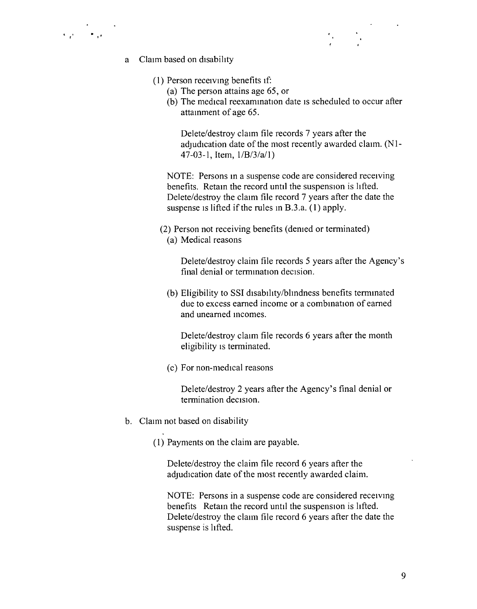



- a Claim based on disability
	- (1) Person receiving benefits If:
		- (a) The person attains age 65, or
		- (b) The medical reexamination date is scheduled to occur after attainment of age 65.

Delete/destroy claim file records 7 years after the adjudication date of the most recently awarded claim. (N1- $47-03-1$ , Item,  $1/B/3/a/1$ )

NOTE: Persons in a suspense code are considered receiving benefits. Retain the record until the suspension is lifted. Delete/destroy the claim file record 7 years after the date the suspense is lifted if the rules in B.3.a. (1) apply.

(2) Person not receiving benefits (demed or terminated) (a) Medical reasons

Delete/destroy claim file records 5 years after the Agency's final denial or termination decision.

(b) Eligibility to SSI disability/blindness benefits terminated due to excess earned income or a combmation of earned and unearned incomes.

Delete/destroy claim file records 6 years after the month eligibility is terminated.

(c) For non-medical reasons

Delete/destroy 2 years after the Agency's final denial or termination decision.

b. Claim not based on disability

(1) Payments on the claim are payable.

Delete/destroy the claim file record 6 years after the adjudication date of the most recently awarded claim.

NOTE: Persons in a suspense code are considered receiving benefits Retam the record until the suspension is lifted. Delete/destroy the claim file record 6 years after the date the suspense is lifted.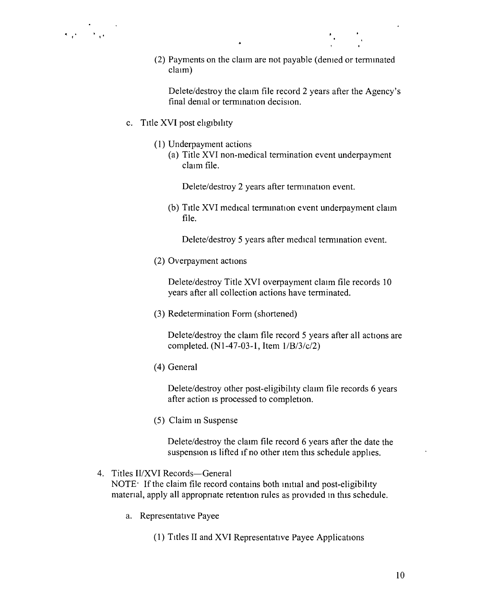(2) Payments on the claim are not payable (denied or termmated claim)

Delete/destroy the claim file record 2 years after the Agency's final demal or termination decision.

- c. Title XVI post eligibility
	- (I) Underpayment actions
		- (a) Title XVI non-medical termination event underpayment claim file.

Delete/destroy 2 years after ternunation event.

(b) Title XVI medical termination event underpayment claim file.

Delete/destroy 5 years after medical ternunation event.

(2) Overpayment actions

Delete/destroy Title XVI overpayment claim file records 10 years after all collection actions have terminated.

(3) Redetermination Form (shortened)

Delete/destroy the claim file record 5 years after all actions are completed.  $(N1-47-03-1,$  Item  $1/B/3/c/2)$ 

(4) General

Delete/destroy other post-eligibility claim file records 6 years after action is processed to completion.

(5) Claim in Suspense

Delete/destroy the claim file record 6 years after the date the suspension is lifted if no other item this schedule applies.

## 4. Titles II/XVI Records—General

NOTE $\cdot$  If the claim file record contains both initial and post-eligibility matenal, apply all appropnate retention rules as provided m this schedule.

- a. Representative Payee
	- (1) Titles II and XVI Representative Payee Applications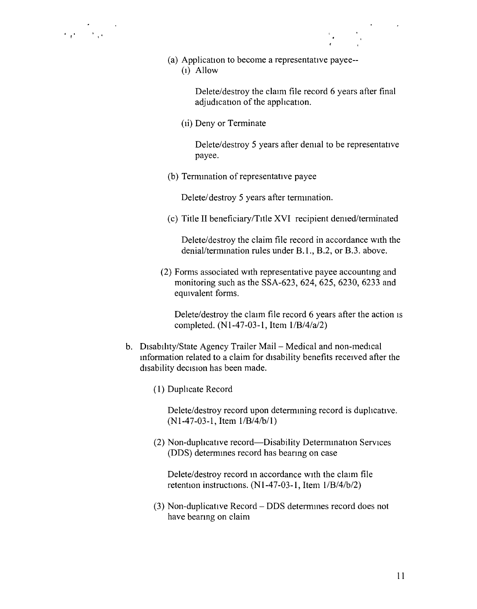(a) Application to become a representative payee--  $(1)$  Allow

> Delete/destroy the claim file record 6 years after final adjudication of the apphcation.

(ii) Deny or Terminate

Delete/destroy 5 years after demal to be representative payee.

(b) Termination of representative payee

Delete/destroy 5 years after termination.

(c) Title II beneficiary/TItle XVI recipient denied/terminated

Delete/destroy the claim file record in accordance with the denial/termination rules under B.1., B.2, or B.3. above.

(2) Forms associated with representative payee accounting and monitoring such as the SSA-623, 624, 625, 6230, 6233 and equivalent forms.

Delete/destroy the claim file record 6 years after the action is completed. (N1-47-03-1, Item  $1/B/4/a/2$ )

- b. Disability/State Agency Trailer Mail Medical and non-medical information related to a claim for disability benefits received after the disability decision has been made.
	- (1) Duplicate Record

Delete/destroy record upon determining record is duplicative.  $(N1-47-03-1,$  Item  $1/B/4/b/1)$ 

(2) Non-duplicative record—Disability Determination Services (DDS) determines record has bearing on case

Delete/destroy record in accordance with the claim file retention instructions.  $(N1-47-03-1,$  Item  $1/B/4/b/2)$ 

(3) Non-duplicative Record – DDS determines record does not have beanng on claim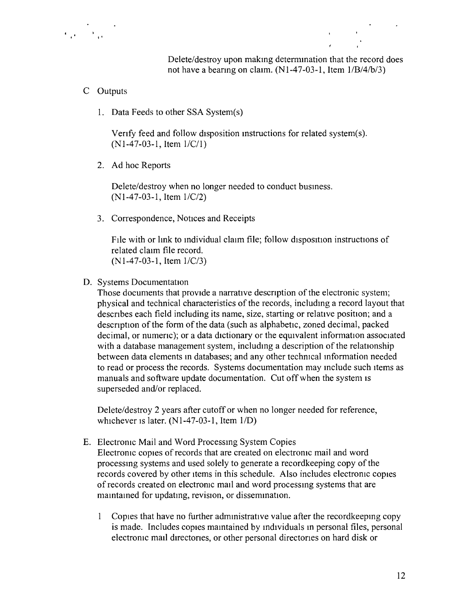Delete/destroy upon making determmation that the record does not have a bearing on claim.  $(N1-47-03-1,$  Item  $1/B/4/b/3)$ 

- C Outputs
	- 1. Data Feeds to other SSA System(s)

Venfy feed and follow disposition instructions for related system(s).  $(N1-47-03-1,$  Item  $1/C/1)$ 

2. Ad hoc Reports

Delete/destroy when no longer needed to conduct business. (N1-47-03-1, Item *lIC/2)*

3. Correspondence, Notices and Receipts

FIle with or lmk to individual claim file; follow disposition instructions of related claim file record. (NI-47-03-1, Item *lIC/3)*

D. Systems Documentation

Those documents that provide a narrative description of the electronic system; physical and technical characteristics of the records, including a record layout that descnbes each field including its name, size, starting or relative position; and a description of the form of the data (such as alphabetic, zoned decimal, packed decimal, or numenc); or a data dictionary or the equivalent information associated with a database management system, including a description of the relationship between data elements in databases; and any other technical information needed to read or process the records. Systems documentation may mclude such Items as manuals and software update documentation. Cut off when the system is superseded and/or replaced.

Delete/destroy 2 years after cutoff or when no longer needed for reference, whichever IS later. (N 1-47-03-1, Item *liD)*

E. Electronic Mail and Word Processing System Copies Electronic copies of records that are created on electronic mail and word processing systems and used solely to generate a recordkeeping copy of the records covered by other items in this schedule. Also includes electronic copies

of records created on electronic mail and word processing systems that are maintained for updating, revision, or dissemination.

Copies that have no further admmistrative value after the recordkeepmg copy is made. Includes copies maintained by individuals in personal files, personal electronic mall directories, or other personal directones on hard disk or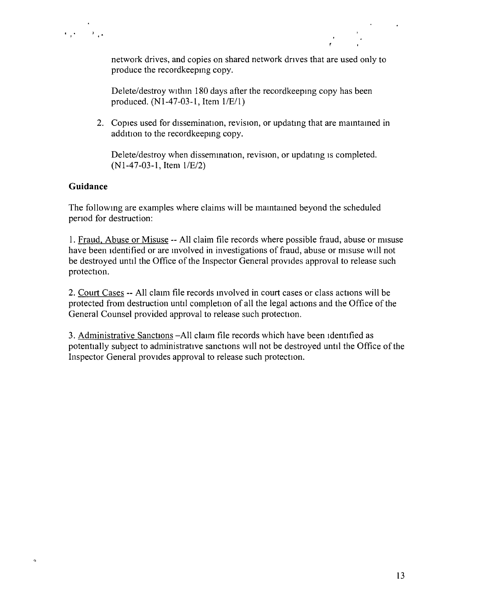

network drives, and copies on shared network drives that are used only to produce the recordkeepmg copy.

Delete/destroy within 180 days after the recordkeepmg copy has been produced.  $(N1-47-03-1,$  Item  $1/E/1)$ 

2. Copies used for dissemination, revision, or updating that are maintained in addition to the recordkeepmg copy.

Delete/destroy when dissemination, revision, or updating is completed.  $(N1-47-03-1,$  Item  $1/E/2)$ 

## **Guidance**

 $\circ$ 

The followmg are examples where claims will be mamtamed beyond the scheduled penod for destruction:

I. Fraud, Abuse or Misuse -- All claim file records where possible fraud, abuse or misuse have been identified or are involved in investigations of fraud, abuse or misuse will not be destroyed until the Office of the Inspector General provides approval to release such protection.

2. Court Cases -- All claim file records involved in court cases or class actions will be protected from destruction until completion of all the legal actions and the Office of the General Counsel provided approval to release such protection.

3. Administrative Sanctions -All claim file records which have been identified as potentially subject to administrative sanctions will not be destroyed until the Office of the Inspector General provides approval to release such protection.